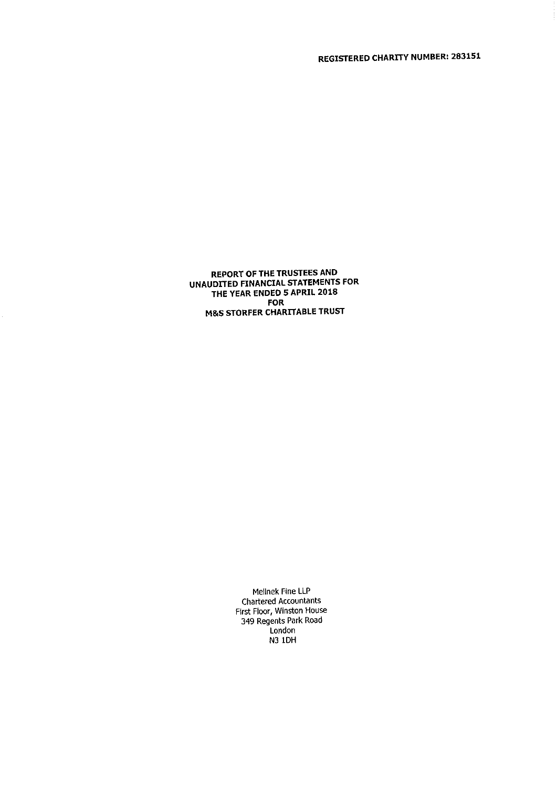REPORT OF THE TRUSTEES AND UNAUDITED FINANCIAL STATEMENTS FOR THE YEAR ENDED 5 APRIL 2018 FOR **M&S STORFER CHARITABLE TRUST** 

> Mellnek Fine LLP Chartered Accountants First Floor, Winston House 349 Regents Park Road Londo N3 IDH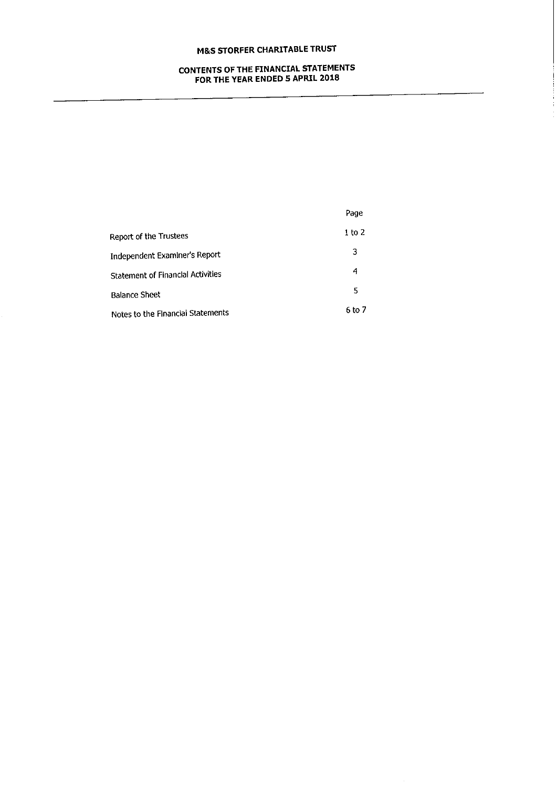## CONTENTS OF THE FINANCIAL STATEMENTS FOR THE YEAR ENDED 5 APRIL 2018

|                                          | Page   |
|------------------------------------------|--------|
| Report of the Trustees                   | 1 to 2 |
| Independent Examiner's Report            | 3      |
| <b>Statement of Financial Activities</b> | 4      |
| <b>Balance Sheet</b>                     | 5      |
| Notes to the Financial Statements        | 6 to 7 |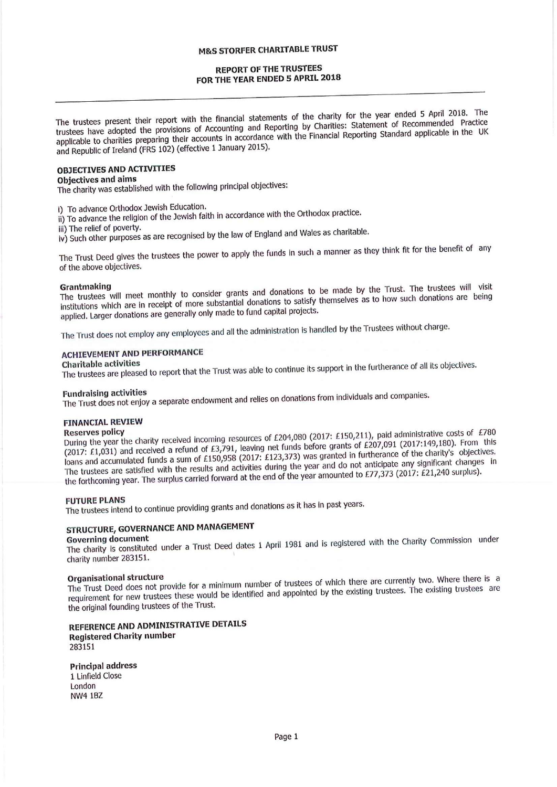### REPORT OF THE TRUSTEES FOR THE YEAR ENDED 5 APRIL 2018

The trustees present their report with the financial statements of the charity for the year ended <sup>5</sup> April 2018. The trustees have adopted the provisions of Accounting and Reporting by Charities: Statement of Recommended Practice applicable to charities preparing their accounts in accordance with the Financial Reporting Standard applicable in the UK and Republic of Ireland (FRS 102) (effective <sup>1</sup> 3anuary 2015).

## OBIECTIVES AND ACTIVITIES

### Objectives and alms

The charity was established with the following principal objectives:

i) To advance Orthodox Jewish Education.<br>ii) To advance the religion of the Jewish faith in accordance with the Orthodox practice

iii) The relief of poverty.<br>iv) Such other purposes as are recognised by the law of England and Wales as charitable

The Trust Deed gives the trustees the power to apply the funds in such a manner as they think fit for the benefit of any of the above objectives.

Grantmaking<br>The trustees will meet monthly to consider grants and donations to be made by the Trust. The trustees will visi institutions which are in receipt of more substantial donations to satisfy themselves as to how such donations are being applied. Larger donations are generally only made to fund capital projects.

The Trust does not employ any employees and all the administration is handled by the Trustees without charge.

# ACHIEVEMENT AND PERFORMANCE

Charitable activities The trustees are pleased to report that the Trust was able to continue its support in the furtherance of all its objectives.

Fundraising activities The Trust does not enjoy <sup>a</sup> separate endowment and relies on donations from individuals and companies.

### FINANCIAL REVIEW

Reserves policy<br>During the year the charity received incoming resources of £204,080 (2017: £150,211), paid administrative costs of £780 (2017: E1,031) and received <sup>a</sup> refund of E3,791, leaving net funds before grants of E207,<sup>091</sup> (2017;149,180). From this loans and accumulated funds a sum of £150,958 (2017: £123,373) was granted in furtherance of the charity's objectives. The trustees are satisfied with the results and activities during the year and do not anticipate any significant changes in the forthcoming year. The surplus carried forward at the end of the year amounted to E77,<sup>373</sup> (2017: E21,<sup>240</sup> surplus).

FUTURE PLANS The trustees intend to continue providing grants and donations as it has in past years.

## STRUCTURE, GOVERNANCE AND MANAGEMENT

Governing document<br>The charity is constituted under a Trust Deed dates 1 April 1981 and is registered with the Charity Commission unde charity number 283151.

Organisational structure<br>The Trust Deed does not provide for a minimum number of trustees of which there are currently two. Where there is a requirement for new trustees these would be identified and appointed by the existing trustees. The existing trustees are the original founding trustees of the Trust.

### REFERENCE AND ADMINISTRATIVE DETAILS **Registered Charity number** 283151

Principal address 1 Linfield Close London NW4 182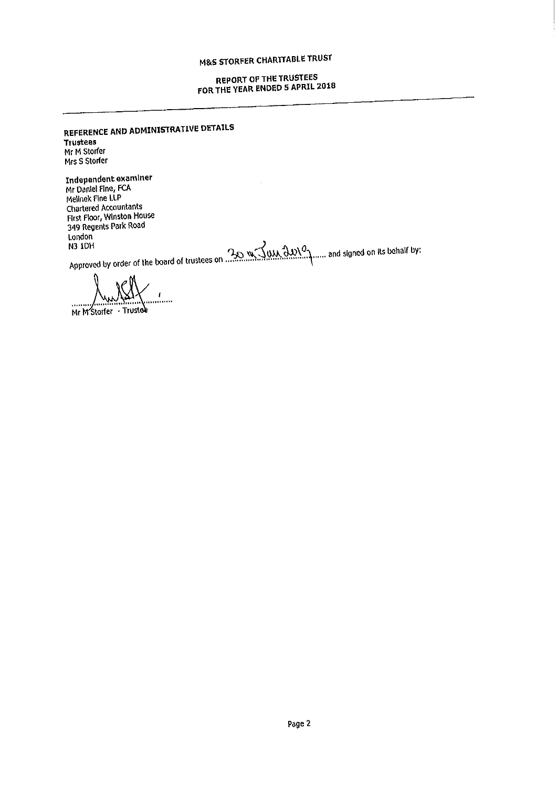## REPORT OF THE TRUSTEES FOR THE YEAR ENDED 5 APRIL 2018

REFERENCE AND ADMINISTRATIVE DETAILS Trustees Mr M Storfer Mrs S Storfer

Independent examine $\frac{1}{2}$ Mr Daniel Fine, FCA Mellnek Rne LLP Chartered Accountants First Floor, Winston House 349 Regents Park Road<br>London London

N3 IDH yorder of the board of trustees on **the second was deviced** in and signed on its behalf by a proved by order of the board of trustees on **the second was depicted** with an and signed on its behalf by

i<br>Indo

Mr M'Storfer - Trustee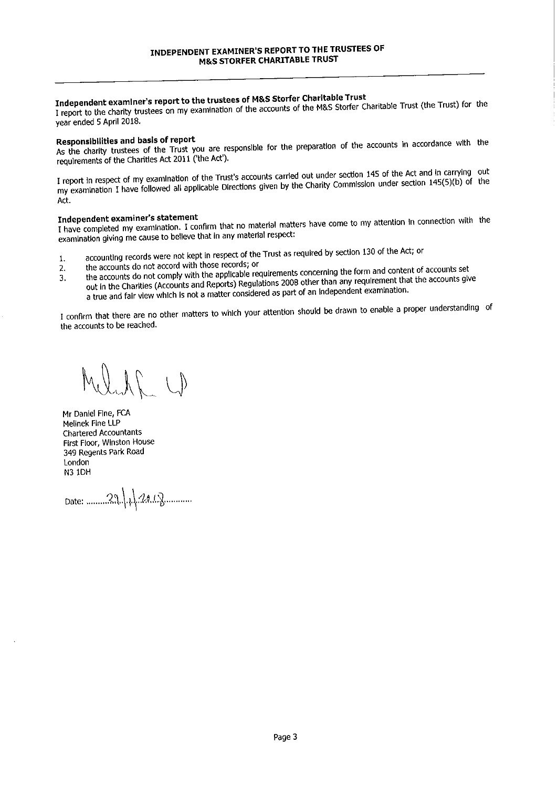## Independent examiner's report to the trustees of M&S Storfer Charitable Trust

<sup>1</sup> report to the charity trustees on my examination of the accounts of the M&S Storfer Charitable Trust (the Trust) for the year ended 5 April 2018.

Responsibilities and basis of report<br>As the charity trustees of the Trust you are responsible for the preparation of the accounts in accordance with the requirements of the Charities Act 2011 ('the Act').

<sup>1</sup> report In respect of my examination of the Trust's accounts carried out under section <sup>145</sup> of the Act and in carrying out my examination I have followed all applicable Directions given by the Charity Commission under section 145(5)(b) of the Act.

Independent examiner's statement <sup>1</sup> have completed my examination. <sup>I</sup> confirm that no material matters have come to my attention In connection with the examination giving me cause to believe that in any material respect:

- accounting records were not kept in respect of the Trust as required by section 130 of the Act; or<br>the accounts do not accord with those records; or
- 1. 2.
- 3. the accounts do not accord with those records; or the accounts do not comply with the applicable requirements concerning the form and content of accounts set
- out In the Charities (Accounts and Reports) Regulations <sup>2008</sup> other than any requirement that the accounts give <sup>a</sup> true and fair view which Is not <sup>a</sup> matter considered as part of an Independent examination.

<sup>I</sup> confirm that there are no other matters to which your attention shoukl be drawn to enable <sup>a</sup> proper understanding of the accounts to be reached.

Melant U

Mr Daniel Fine, FCA Melinek Fine LLP Chartered Accountants First Floor, Winston House 349 Regents Park Road London N3 1DH

Date: .........29 4 2018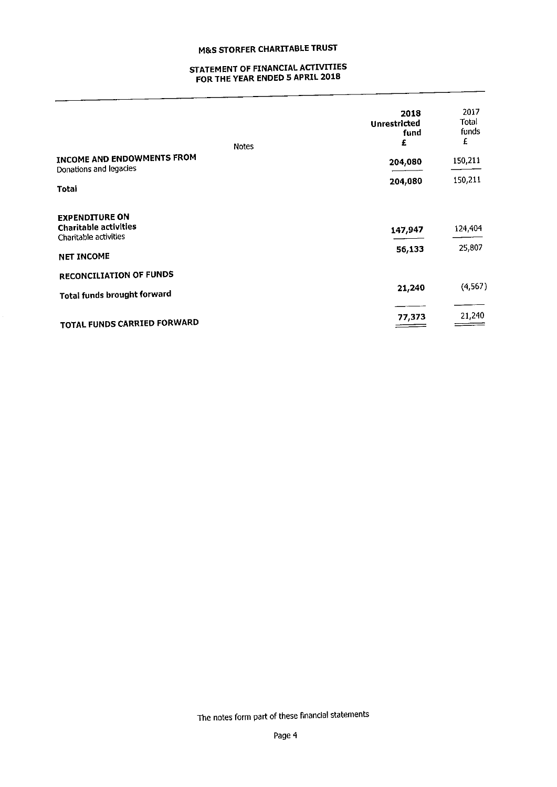## STATEMENT OF FINANCIAL ACTIVITIES FOR THE YEAR ENDED 5 APRIL 2018

| <b>Notes</b>                                                                   | 2018<br>Unrestricted<br>fund<br>£ | 2017<br>Total<br>funds<br>£ |
|--------------------------------------------------------------------------------|-----------------------------------|-----------------------------|
| INCOME AND ENDOWMENTS FROM<br>Donations and legacies                           | 204,080                           | 150,211                     |
| Total                                                                          | 204,080                           | 150,211                     |
| <b>EXPENDITURE ON</b><br><b>Charitable activities</b><br>Charitable activities | 147,947                           | 124,404                     |
| <b>NET INCOME</b>                                                              | 56,133                            | 25,807                      |
| <b>RECONCILIATION OF FUNDS</b>                                                 |                                   |                             |
| <b>Total funds brought forward</b>                                             | 21,240                            | (4, 567)                    |
| TOTAL FUNDS CARRIED FORWARD                                                    | 77,373                            | 21,240                      |

The notes form part of these financial statements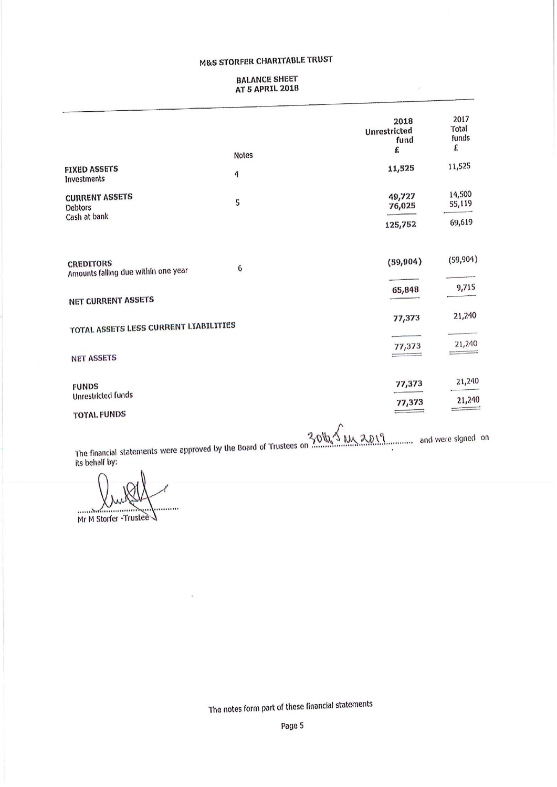### BALANCE SNEET AT 5 APRIL 2018

ö

|                                                         |                   | 2018<br>Unrestricted<br>fund<br>£ | 2017<br>Total<br>funds<br>f. |
|---------------------------------------------------------|-------------------|-----------------------------------|------------------------------|
| <b>FIXED ASSETS</b>                                     | <b>Notes</b><br>4 | 11,525                            | 11,525                       |
| Investments<br><b>CURRENT ASSETS</b><br><b>Debtors</b>  | 5                 | 49,727<br>76,025                  | 14,500<br>55,119             |
| Cash at bank                                            |                   | 125,752                           | 69,619                       |
| <b>CREDITORS</b><br>Amounts falling due within one year | 6                 | (59, 904)                         | (59,904)                     |
| <b>NET CURRENT ASSETS</b>                               |                   | 65,848                            | 9,715                        |
| TOTAL ASSETS LESS CURRENT LYABILITIES                   |                   | 77,373                            | 21,240                       |
| <b>NET ASSETS</b>                                       |                   | $\frac{77,373}{ }$                | 21,240                       |
| <b>FUNDS</b><br>Unrestricted funds                      |                   | 77,373                            | 21,240                       |
| <b>TOTAL FUNDS</b>                                      |                   | 77,373                            | 21,240                       |
|                                                         |                   |                                   |                              |

The financial statements were approved by the Board of Trustees on  $50\%$  M, 20 M, 20 M, 20 M and were signed or

Its behalf by, ........

Mr M Storfer -Trustee

The notes form part of these financial statements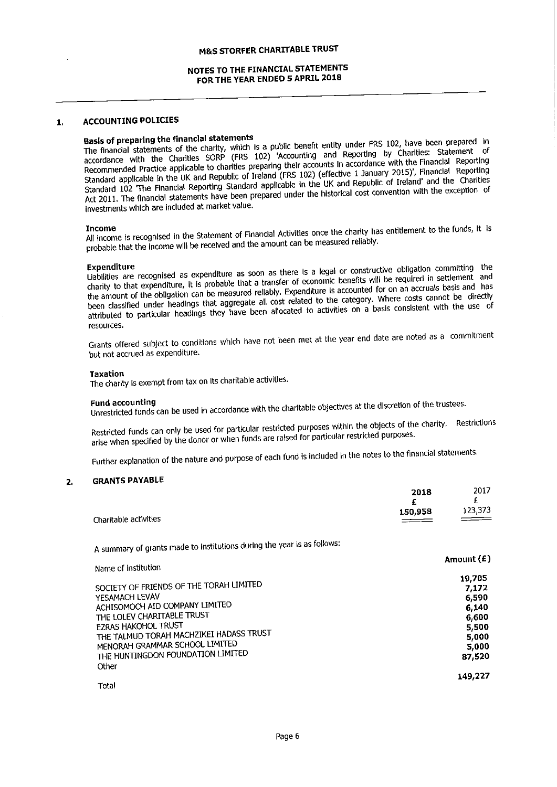### NOTES TO THE FINANCIAL STATEMENTS FOR THE YEAR ENDED 5 APRIL 2018

### 1, ACCOUNTING POLICIES

Basis of preparing the financial statements<br>The financial statements of the charity, which is a public benefit entity under FRS 102, have been prepared in<br>CODP (CDP) (CDP) (CODP) (COOP) (Coopming and Reporting by Charities accordance with the Charities SORP (FRS 102) 'Accounting and Reporting by Charities: Statement of Recommended Practice applicable to charities preparing their accounts In accordance with the Financial Reporting Standard applicable ln the UK and Republic of Ireland (FRS 102) (effedive <sup>1</sup> january 2015)', Financial Reporting Standard <sup>102</sup> 'The Financial Reporting Standard applicable In the UK and Republic of Ireland' and the Charities Act 2011. The financial statements have been prepared under the historical cost convention with the exception of investments which are Included at market value.

Income All income is recognised In the Statement of Financial Activities once the charity has entitlement to the funds, It Is probable that the Income will be received and the amount can be measured reliably.

Expenditure Uabllities are recognised as expenditure as soon as there is <sup>a</sup> legal or constructive obligation committing the charity to that expenditure, It is probable that a transfer of economic benefits will be required in settlement and the amount of the obligation can be measured reliably. Expenditure Is accounted for on an accruals basis and has been classified under headings that aggregate all cost related to the category. Where costs cannot be directly attributed to particular headings they have been allocated to activities on a basis consistent with the use of resources.

Grants offered subject to conditions which have not been met at the year end date are noted as <sup>a</sup> commitment but not accrued as expenditure.

### Taxation

The charity Is exempt from tax on Its charitable activities.

Fund accounting Unrestricted funds can be used in accordance with the charitable objectives at the discretion of the trustees.

Restricted funds can only be used for particular restricted purposes within the objects of the charity. Restrictions arise when specified by the donor or when funds are raised for particular restricted purposes.

Further explanation of the nature and purpose of each fund is included In the notes to the flnancial statements.

### 2, GRANTS PAYABLE

|                       | 2018    | 2017    |
|-----------------------|---------|---------|
|                       |         | Ł.      |
|                       | 150,958 | 123,373 |
| Charitable activities |         |         |

<sup>A</sup> summary of grants made to Institutions during the year is as follows:

|                                                                                                                                                                                                                                                                                                  | Amount $(E)$                                                                    |
|--------------------------------------------------------------------------------------------------------------------------------------------------------------------------------------------------------------------------------------------------------------------------------------------------|---------------------------------------------------------------------------------|
| Name of institution<br>SOCIETY OF FRIENDS OF THE TORAH LIMITED<br>YESAMACH LEVAV<br>ACHISOMOCH AID COMPANY LIMITED<br>THE LOLEV CHARITABLE TRUST<br><b>EZRAS HAKOHOL TRUST</b><br>THE TALMUD TORAH MACHZIKEI HADASS TRUST<br>MENORAH GRAMMAR SCHOOL LIMITED<br>THE HUNTINGDON FOUNDATION LIMITED | 19,705<br>7,172<br>6,590<br>6,140<br>6,600<br>5,500<br>5,000<br>5,000<br>87,520 |
| Other<br>Total                                                                                                                                                                                                                                                                                   | 149.227                                                                         |